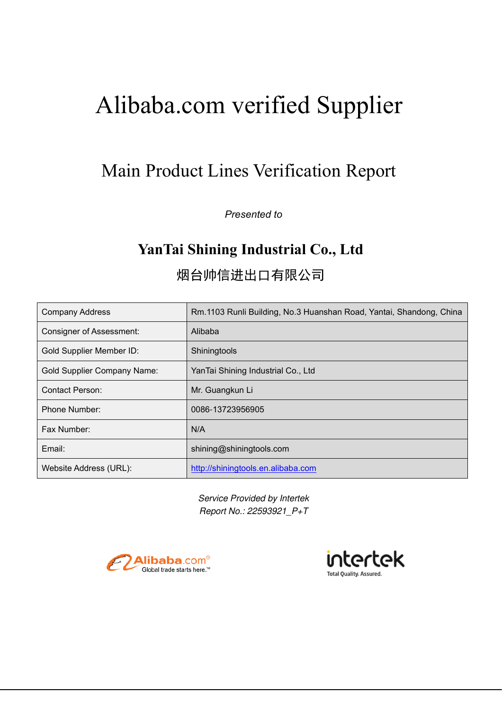# Main Product Lines Verification Report

*Presented to*

# **YanTai Shining Industrial Co., Ltd**

烟台帅信进出口有限公司

| <b>Company Address</b>             | Rm.1103 Runli Building, No.3 Huanshan Road, Yantai, Shandong, China |
|------------------------------------|---------------------------------------------------------------------|
| <b>Consigner of Assessment:</b>    | Alibaba                                                             |
| <b>Gold Supplier Member ID:</b>    | Shiningtools                                                        |
| <b>Gold Supplier Company Name:</b> | YanTai Shining Industrial Co., Ltd                                  |
| <b>Contact Person:</b>             | Mr. Guangkun Li                                                     |
| <b>Phone Number:</b>               | 0086-13723956905                                                    |
| Fax Number:                        | N/A                                                                 |
| Email:                             | shining@shiningtools.com                                            |
| Website Address (URL):             | http://shiningtools.en.alibaba.com                                  |

*Service Provided by Intertek Report No.: 22593921\_P+T* 



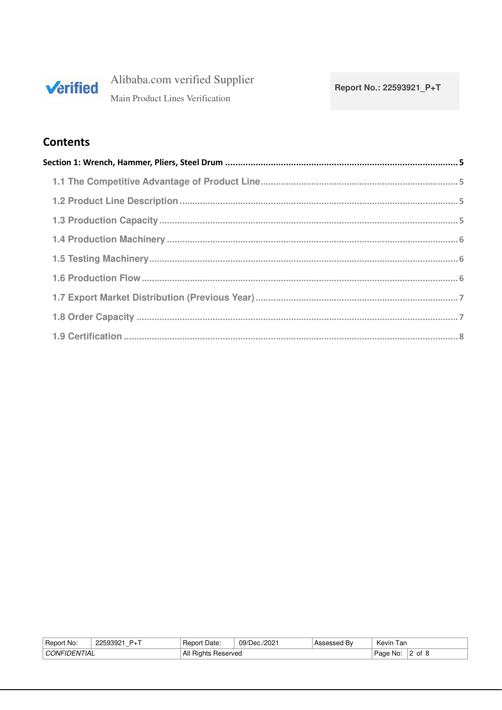

Alibaba.com verified Supplier Main Product Lines Verification

## **Contents**

| Report<br>No.                           | วแน<br>⊥ب | Date:<br>Report           | /2021<br>09/D<br>ിലെ | -<br>Hν | , ar<br>Kevir |    |
|-----------------------------------------|-----------|---------------------------|----------------------|---------|---------------|----|
| $\sim$<br>. INIFI'<br>' I IAL<br>$I-NI$ |           | All<br>Reserved<br>≺iants |                      |         | Nο<br>Page    | ∩t |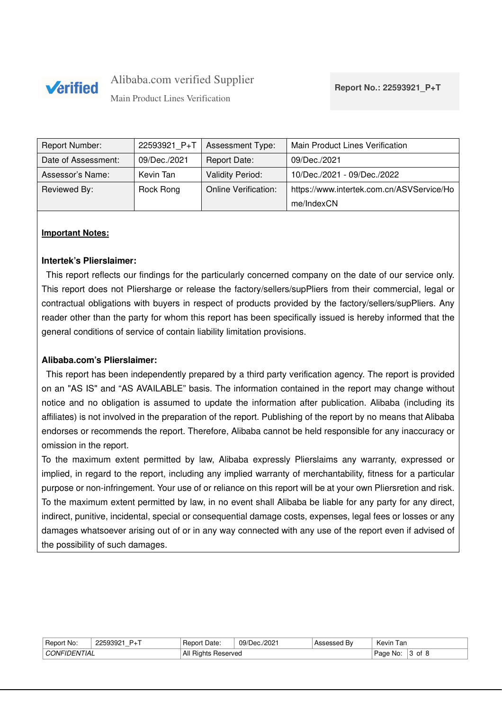

Main Product Lines Verification

| Report Number:      | 22593921 P+T | <b>Assessment Type:</b>     | Main Product Lines Verification           |
|---------------------|--------------|-----------------------------|-------------------------------------------|
| Date of Assessment: | 09/Dec./2021 | <b>Report Date:</b>         | 09/Dec./2021                              |
| Assessor's Name:    | Kevin Tan    | <b>Validity Period:</b>     | 10/Dec./2021 - 09/Dec./2022               |
| Reviewed By:        | Rock Rong    | <b>Online Verification:</b> | https://www.intertek.com.cn/ASVService/Ho |
|                     |              |                             | me/IndexCN                                |

#### **Important Notes:**

#### **Intertek's Plierslaimer:**

This report reflects our findings for the particularly concerned company on the date of our service only. This report does not Pliersharge or release the factory/sellers/supPliers from their commercial, legal or contractual obligations with buyers in respect of products provided by the factory/sellers/supPliers. Any reader other than the party for whom this report has been specifically issued is hereby informed that the general conditions of service of contain liability limitation provisions.

### **Alibaba.com's Plierslaimer:**

This report has been independently prepared by a third party verification agency. The report is provided on an "AS IS" and "AS AVAILABLE" basis. The information contained in the report may change without notice and no obligation is assumed to update the information after publication. Alibaba (including its affiliates) is not involved in the preparation of the report. Publishing of the report by no means that Alibaba endorses or recommends the report. Therefore, Alibaba cannot be held responsible for any inaccuracy or omission in the report.

To the maximum extent permitted by law, Alibaba expressly Plierslaims any warranty, expressed or implied, in regard to the report, including any implied warranty of merchantability, fitness for a particular purpose or non-infringement. Your use of or reliance on this report will be at your own Pliersretion and risk. To the maximum extent permitted by law, in no event shall Alibaba be liable for any party for any direct, indirect, punitive, incidental, special or consequential damage costs, expenses, legal fees or losses or any damages whatsoever arising out of or in any way connected with any use of the report even if advised of the possibility of such damages.

| √Hepor<br>′t No:               | 1.2250222<br>$-+$ .<br>------ | Date<br>Report            | 09/Dec./2021 | . Bv<br>As:<br>5335U | I an<br>Kevin     |    |
|--------------------------------|-------------------------------|---------------------------|--------------|----------------------|-------------------|----|
| <b>ITIAL</b><br>AINר<br>a JENE |                               | All<br>Heserved<br>Hights |              |                      | ല്ലെ<br>age<br>٦U | ot |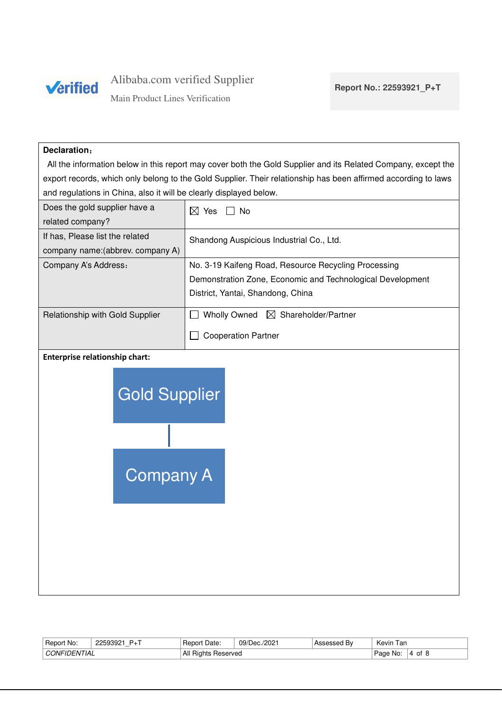

Main Product Lines Verification

#### **Declaration**:

All the information below in this report may cover both the Gold Supplier and its Related Company, except the export records, which only belong to the Gold Supplier. Their relationship has been affirmed according to laws and regulations in China, also it will be clearly displayed below.

| Does the gold supplier have a     | ⊠<br>No.<br>Yes                                            |
|-----------------------------------|------------------------------------------------------------|
| related company?                  |                                                            |
| If has, Please list the related   | Shandong Auspicious Industrial Co., Ltd.                   |
| company name: (abbrev. company A) |                                                            |
| Company A's Address:              | No. 3-19 Kaifeng Road, Resource Recycling Processing       |
|                                   | Demonstration Zone, Economic and Technological Development |
|                                   | District, Yantai, Shandong, China                          |
|                                   |                                                            |
| Relationship with Gold Supplier   | $\boxtimes$ Shareholder/Partner<br><b>Wholly Owned</b>     |
|                                   | <b>Cooperation Partner</b>                                 |

#### **Enterprise relationship chart:**



| Report<br>No:                                                        | 2250302<br>ີ∸ | Date:<br>Report                  | 09/Dec./2021 | -<br>ssed Bv. . | Kevin<br>l an |    |
|----------------------------------------------------------------------|---------------|----------------------------------|--------------|-----------------|---------------|----|
| TIAL<br>$\cap$ $\cap$ $\mathsf{N}$ $\vdash$ $\mathsf{N}$ .<br>$J-NI$ |               | All<br>Reserved<br><b>Hights</b> |              |                 | . Page<br>N0  | 0t |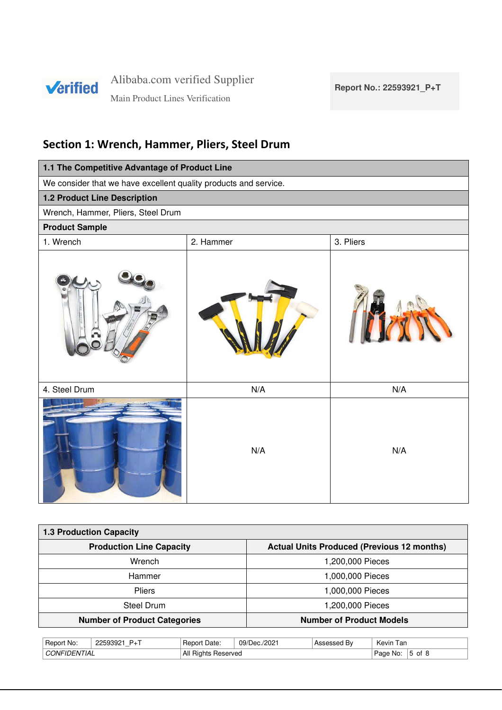

Main Product Lines Verification

# **Section 1: Wrench, Hammer, Pliers, Steel Drum**

| 1.1 The Competitive Advantage of Product Line                    |           |           |  |  |  |  |  |  |  |
|------------------------------------------------------------------|-----------|-----------|--|--|--|--|--|--|--|
| We consider that we have excellent quality products and service. |           |           |  |  |  |  |  |  |  |
| 1.2 Product Line Description                                     |           |           |  |  |  |  |  |  |  |
| Wrench, Hammer, Pliers, Steel Drum                               |           |           |  |  |  |  |  |  |  |
| <b>Product Sample</b>                                            |           |           |  |  |  |  |  |  |  |
| 1. Wrench                                                        | 2. Hammer | 3. Pliers |  |  |  |  |  |  |  |
|                                                                  |           |           |  |  |  |  |  |  |  |
| 4. Steel Drum                                                    | N/A       | N/A       |  |  |  |  |  |  |  |
|                                                                  | N/A       | N/A       |  |  |  |  |  |  |  |

| <b>1.3 Production Capacity</b>      |                                                   |  |  |  |  |  |  |
|-------------------------------------|---------------------------------------------------|--|--|--|--|--|--|
| <b>Production Line Capacity</b>     | <b>Actual Units Produced (Previous 12 months)</b> |  |  |  |  |  |  |
| Wrench                              | 1,200,000 Pieces                                  |  |  |  |  |  |  |
| Hammer                              | 1,000,000 Pieces                                  |  |  |  |  |  |  |
| <b>Pliers</b>                       | 1,000,000 Pieces                                  |  |  |  |  |  |  |
| Steel Drum                          | 1,200,000 Pieces                                  |  |  |  |  |  |  |
| <b>Number of Product Categories</b> | <b>Number of Product Models</b>                   |  |  |  |  |  |  |

| ' Repon<br>No:                | 0.000000<br><b>טרע</b> י<br>$\cdots$<br>- | Date:<br><b>Report</b>               | 'Dec./2021<br>09/D | B٧<br>$\Delta$ c<br>− 0 | Kevin<br>l ar |              |
|-------------------------------|-------------------------------------------|--------------------------------------|--------------------|-------------------------|---------------|--------------|
| 'TIAL<br><b>JNIF</b><br>$I-N$ |                                           | All<br><b>Heserved</b><br>⊣ıaı<br>הו |                    |                         | Page<br>No    | Οt<br>∽<br>w |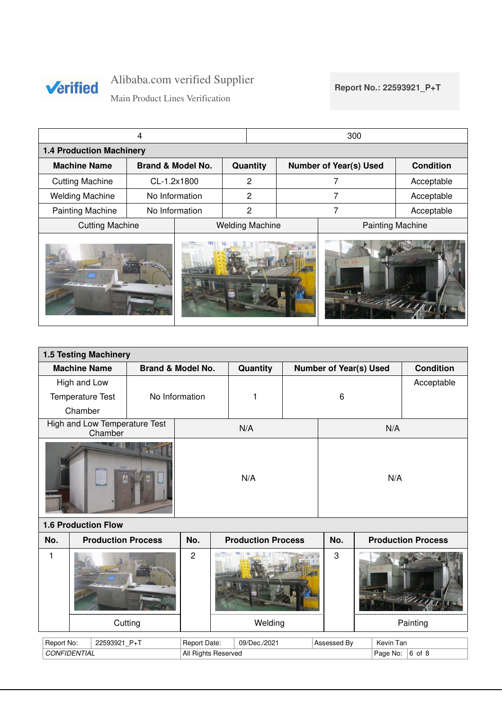

**Report No.: 22593921\_P+T**

Main Product Lines Verification

|                                 |                              |                |  |                        | 300 |                               |                         |  |  |  |
|---------------------------------|------------------------------|----------------|--|------------------------|-----|-------------------------------|-------------------------|--|--|--|
| <b>1.4 Production Machinery</b> |                              |                |  |                        |     |                               |                         |  |  |  |
| <b>Machine Name</b>             | <b>Brand &amp; Model No.</b> |                |  | Quantity               |     | <b>Number of Year(s) Used</b> | <b>Condition</b>        |  |  |  |
| <b>Cutting Machine</b>          |                              | CL-1.2x1800    |  | 2                      |     | 7                             | Acceptable              |  |  |  |
| <b>Welding Machine</b>          |                              | No Information |  | $\overline{2}$         |     | 7                             | Acceptable              |  |  |  |
| <b>Painting Machine</b>         |                              | No Information |  | $\overline{2}$         | 7   |                               | Acceptable              |  |  |  |
| <b>Cutting Machine</b>          |                              |                |  | <b>Welding Machine</b> |     |                               | <b>Painting Machine</b> |  |  |  |
| <b>Citizensidence</b>           |                              |                |  |                        |     |                               |                         |  |  |  |

| <b>1.5 Testing Machinery</b> |                                          |                              |              |                     |                           |                               |             |          |           |                           |
|------------------------------|------------------------------------------|------------------------------|--------------|---------------------|---------------------------|-------------------------------|-------------|----------|-----------|---------------------------|
|                              | <b>Machine Name</b>                      | <b>Brand &amp; Model No.</b> |              |                     | Quantity                  | <b>Number of Year(s) Used</b> |             |          |           | <b>Condition</b>          |
|                              | High and Low                             |                              |              |                     |                           |                               |             |          |           | Acceptable                |
|                              | Temperature Test                         | No Information               |              |                     | 1                         |                               | 6           |          |           |                           |
|                              | Chamber                                  |                              |              |                     |                           |                               |             |          |           |                           |
|                              | High and Low Temperature Test<br>Chamber |                              |              |                     | N/A                       |                               |             |          | N/A       |                           |
|                              |                                          |                              | N/A          |                     |                           |                               | N/A         |          |           |                           |
|                              | <b>1.6 Production Flow</b>               |                              |              |                     |                           |                               |             |          |           |                           |
| No.                          | <b>Production Process</b>                |                              | No.          |                     | <b>Production Process</b> |                               | No.         |          |           | <b>Production Process</b> |
| $\overline{2}$<br>1          |                                          |                              |              |                     | 3                         |                               |             |          |           |                           |
|                              |                                          | Welding                      |              |                     |                           |                               |             | Painting |           |                           |
| Report No:                   | 22593921_P+T                             |                              | Report Date: |                     | 09/Dec./2021              |                               | Assessed By |          | Kevin Tan |                           |
|                              | <b>CONFIDENTIAL</b>                      |                              |              | All Rights Reserved |                           |                               |             |          | Page No:  | $6$ of 8                  |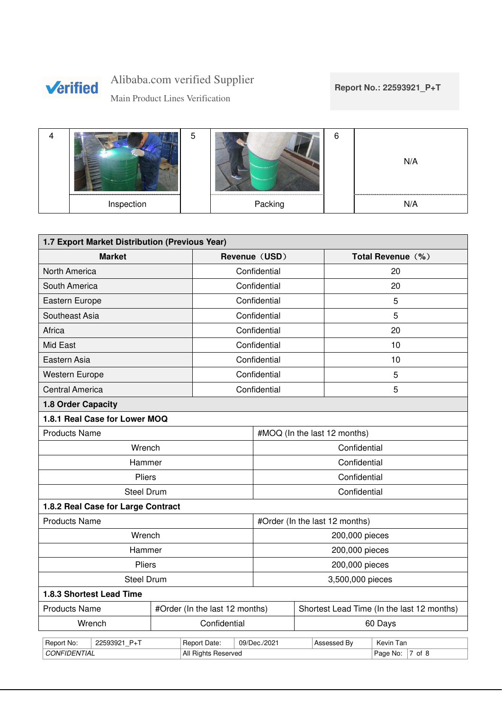

Main Product Lines Verification

## **Report No.: 22593921\_P+T**

|            |         | N/A |
|------------|---------|-----|
| Inspection | Packing | N/A |

| 1.7 Export Market Distribution (Previous Year) |                               |                                |                |                                            |                              |                   |  |  |
|------------------------------------------------|-------------------------------|--------------------------------|----------------|--------------------------------------------|------------------------------|-------------------|--|--|
| <b>Market</b>                                  |                               |                                | Revenue (USD)  |                                            |                              | Total Revenue (%) |  |  |
| North America                                  | Confidential                  |                                |                | 20                                         |                              |                   |  |  |
| South America                                  | Confidential                  |                                |                | 20                                         |                              |                   |  |  |
| Eastern Europe                                 | Confidential                  |                                | 5              |                                            |                              |                   |  |  |
| Southeast Asia                                 | Confidential                  |                                |                | 5                                          |                              |                   |  |  |
| Africa                                         | Confidential                  |                                |                | 20                                         |                              |                   |  |  |
| Mid East                                       |                               | Confidential                   |                | 10                                         |                              |                   |  |  |
| Eastern Asia                                   |                               | Confidential                   |                | 10                                         |                              |                   |  |  |
| <b>Western Europe</b>                          |                               | Confidential                   |                |                                            | 5                            |                   |  |  |
| <b>Central America</b>                         | Confidential                  |                                |                | 5                                          |                              |                   |  |  |
| 1.8 Order Capacity                             |                               |                                |                |                                            |                              |                   |  |  |
|                                                | 1.8.1 Real Case for Lower MOQ |                                |                |                                            |                              |                   |  |  |
| <b>Products Name</b>                           |                               |                                |                |                                            | #MOQ (In the last 12 months) |                   |  |  |
| Wrench                                         |                               |                                | Confidential   |                                            |                              |                   |  |  |
| Hammer                                         |                               |                                |                | Confidential                               |                              |                   |  |  |
| <b>Pliers</b>                                  |                               |                                |                | Confidential                               |                              |                   |  |  |
| <b>Steel Drum</b>                              |                               |                                |                |                                            | Confidential                 |                   |  |  |
| 1.8.2 Real Case for Large Contract             |                               |                                |                |                                            |                              |                   |  |  |
| <b>Products Name</b>                           |                               | #Order (In the last 12 months) |                |                                            |                              |                   |  |  |
| Wrench                                         |                               |                                | 200,000 pieces |                                            |                              |                   |  |  |
| Hammer                                         |                               | 200,000 pieces                 |                |                                            |                              |                   |  |  |
| Pliers                                         |                               | 200,000 pieces                 |                |                                            |                              |                   |  |  |
| <b>Steel Drum</b>                              |                               | 3,500,000 pieces               |                |                                            |                              |                   |  |  |
| 1.8.3 Shortest Lead Time                       |                               |                                |                |                                            |                              |                   |  |  |
| <b>Products Name</b>                           |                               | #Order (In the last 12 months) |                | Shortest Lead Time (In the last 12 months) |                              |                   |  |  |
| Wrench                                         | Confidential                  |                                | 60 Days        |                                            |                              |                   |  |  |
| Report No:<br>22593921_P+T                     |                               | Report Date:                   | 09/Dec./2021   |                                            | Assessed By                  | Kevin Tan         |  |  |
| <b>CONFIDENTIAL</b>                            |                               | All Rights Reserved            |                |                                            |                              | Page No: 7 of 8   |  |  |